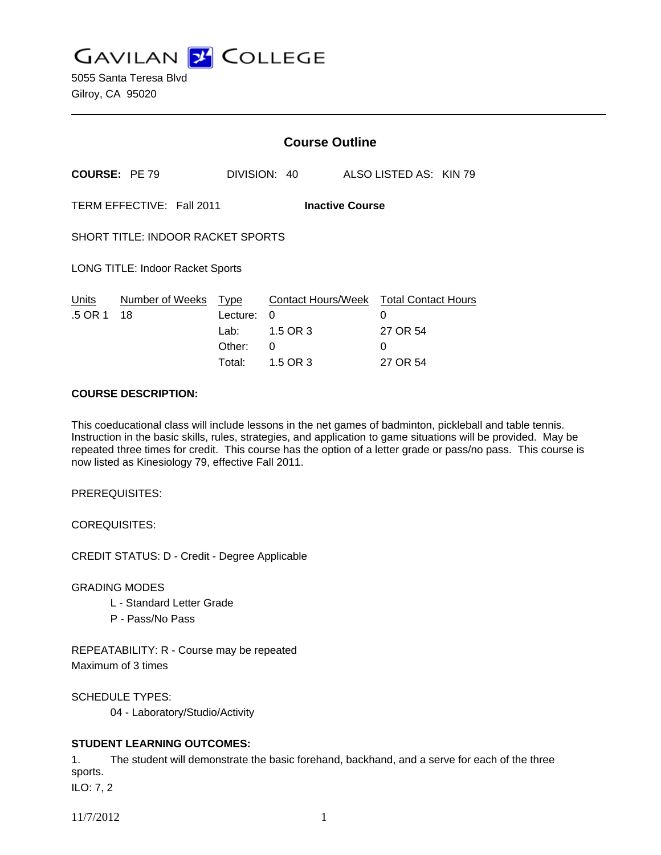**GAVILAN J COLLEGE** 

|                                                     |                            | <b>Course Outline</b>                |                                                                                 |                                |  |
|-----------------------------------------------------|----------------------------|--------------------------------------|---------------------------------------------------------------------------------|--------------------------------|--|
| <b>COURSE: PE 79</b>                                |                            |                                      | DIVISION: 40                                                                    | ALSO LISTED AS: KIN 79         |  |
| TERM EFFECTIVE: Fall 2011<br><b>Inactive Course</b> |                            |                                      |                                                                                 |                                |  |
| SHORT TITLE: INDOOR RACKET SPORTS                   |                            |                                      |                                                                                 |                                |  |
| <b>LONG TITLE: Indoor Racket Sports</b>             |                            |                                      |                                                                                 |                                |  |
| <u>Units</u><br>.5 OR 1                             | Number of Weeks Type<br>18 | Lecture:<br>Lab:<br>Other:<br>Total: | Contact Hours/Week Total Contact Hours<br>$\Omega$<br>1.5 OR 3<br>0<br>1.5 OR 3 | 0<br>27 OR 54<br>0<br>27 OR 54 |  |

### **COURSE DESCRIPTION:**

This coeducational class will include lessons in the net games of badminton, pickleball and table tennis. Instruction in the basic skills, rules, strategies, and application to game situations will be provided. May be repeated three times for credit. This course has the option of a letter grade or pass/no pass. This course is now listed as Kinesiology 79, effective Fall 2011.

PREREQUISITES:

COREQUISITES:

CREDIT STATUS: D - Credit - Degree Applicable

GRADING MODES

- L Standard Letter Grade
- P Pass/No Pass

REPEATABILITY: R - Course may be repeated Maximum of 3 times

SCHEDULE TYPES:

04 - Laboratory/Studio/Activity

# **STUDENT LEARNING OUTCOMES:**

1. The student will demonstrate the basic forehand, backhand, and a serve for each of the three sports.

ILO: 7, 2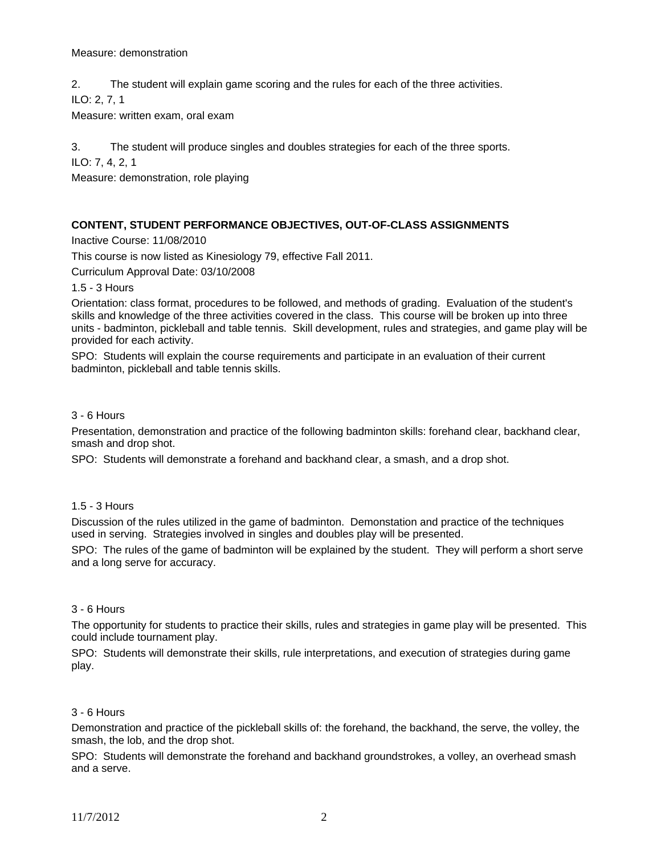#### Measure: demonstration

2. The student will explain game scoring and the rules for each of the three activities.

ILO: 2, 7, 1

Measure: written exam, oral exam

3. The student will produce singles and doubles strategies for each of the three sports.

ILO: 7, 4, 2, 1

Measure: demonstration, role playing

# **CONTENT, STUDENT PERFORMANCE OBJECTIVES, OUT-OF-CLASS ASSIGNMENTS**

Inactive Course: 11/08/2010

This course is now listed as Kinesiology 79, effective Fall 2011.

Curriculum Approval Date: 03/10/2008

1.5 - 3 Hours

Orientation: class format, procedures to be followed, and methods of grading. Evaluation of the student's skills and knowledge of the three activities covered in the class. This course will be broken up into three units - badminton, pickleball and table tennis. Skill development, rules and strategies, and game play will be provided for each activity.

SPO: Students will explain the course requirements and participate in an evaluation of their current badminton, pickleball and table tennis skills.

### 3 - 6 Hours

Presentation, demonstration and practice of the following badminton skills: forehand clear, backhand clear, smash and drop shot.

SPO: Students will demonstrate a forehand and backhand clear, a smash, and a drop shot.

# 1.5 - 3 Hours

Discussion of the rules utilized in the game of badminton. Demonstation and practice of the techniques used in serving. Strategies involved in singles and doubles play will be presented.

SPO: The rules of the game of badminton will be explained by the student. They will perform a short serve and a long serve for accuracy.

# 3 - 6 Hours

The opportunity for students to practice their skills, rules and strategies in game play will be presented. This could include tournament play.

SPO: Students will demonstrate their skills, rule interpretations, and execution of strategies during game play.

# 3 - 6 Hours

Demonstration and practice of the pickleball skills of: the forehand, the backhand, the serve, the volley, the smash, the lob, and the drop shot.

SPO: Students will demonstrate the forehand and backhand groundstrokes, a volley, an overhead smash and a serve.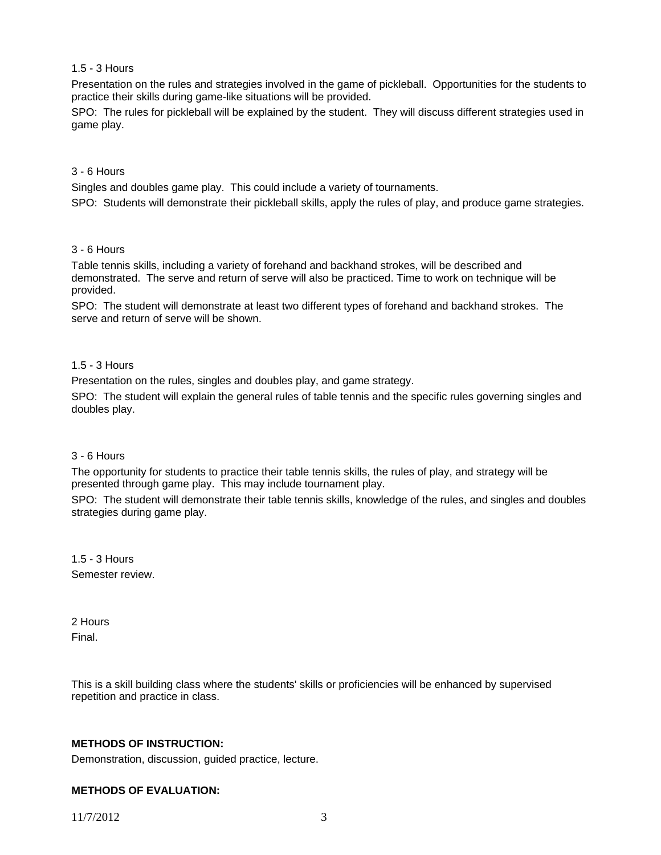# 1.5 - 3 Hours

Presentation on the rules and strategies involved in the game of pickleball. Opportunities for the students to practice their skills during game-like situations will be provided.

SPO: The rules for pickleball will be explained by the student. They will discuss different strategies used in game play.

## 3 - 6 Hours

Singles and doubles game play. This could include a variety of tournaments.

SPO: Students will demonstrate their pickleball skills, apply the rules of play, and produce game strategies.

## 3 - 6 Hours

Table tennis skills, including a variety of forehand and backhand strokes, will be described and demonstrated. The serve and return of serve will also be practiced. Time to work on technique will be provided.

SPO: The student will demonstrate at least two different types of forehand and backhand strokes. The serve and return of serve will be shown.

### 1.5 - 3 Hours

Presentation on the rules, singles and doubles play, and game strategy.

SPO: The student will explain the general rules of table tennis and the specific rules governing singles and doubles play.

#### 3 - 6 Hours

The opportunity for students to practice their table tennis skills, the rules of play, and strategy will be presented through game play. This may include tournament play.

SPO: The student will demonstrate their table tennis skills, knowledge of the rules, and singles and doubles strategies during game play.

1.5 - 3 Hours Semester review.

2 Hours Final.

This is a skill building class where the students' skills or proficiencies will be enhanced by supervised repetition and practice in class.

# **METHODS OF INSTRUCTION:**

Demonstration, discussion, guided practice, lecture.

# **METHODS OF EVALUATION:**

11/7/2012 3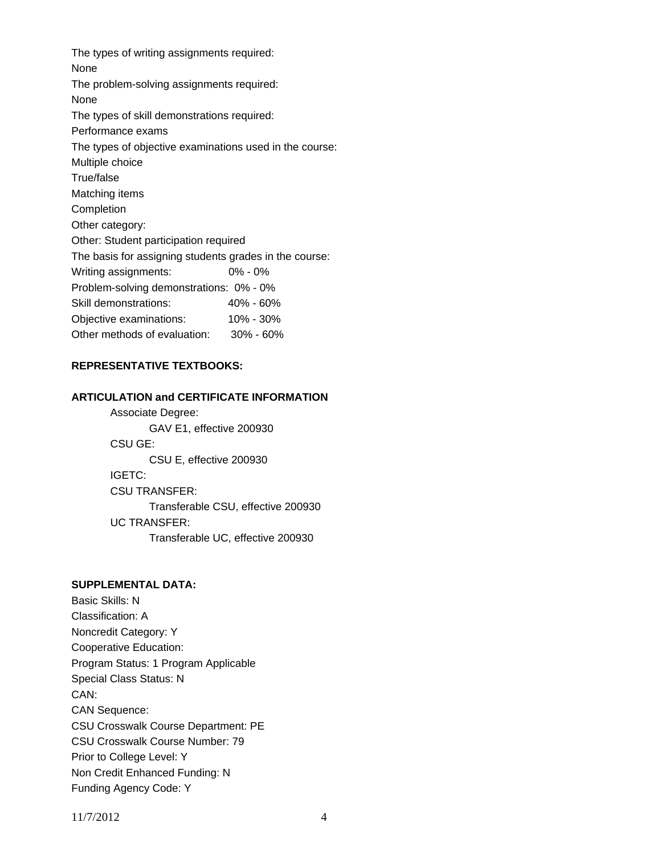The types of writing assignments required: None The problem-solving assignments required: None The types of skill demonstrations required: Performance exams The types of objective examinations used in the course: Multiple choice True/false Matching items **Completion** Other category: Other: Student participation required The basis for assigning students grades in the course: Writing assignments: 0% - 0% Problem-solving demonstrations: 0% - 0% Skill demonstrations: 40% - 60% Objective examinations: 10% - 30% Other methods of evaluation: 30% - 60%

# **REPRESENTATIVE TEXTBOOKS:**

# **ARTICULATION and CERTIFICATE INFORMATION**

 Associate Degree: GAV E1, effective 200930 CSU GE: CSU E, effective 200930 IGETC: CSU TRANSFER: Transferable CSU, effective 200930 UC TRANSFER: Transferable UC, effective 200930

# **SUPPLEMENTAL DATA:**

Basic Skills: N Classification: A Noncredit Category: Y Cooperative Education: Program Status: 1 Program Applicable Special Class Status: N CAN: CAN Sequence: CSU Crosswalk Course Department: PE CSU Crosswalk Course Number: 79 Prior to College Level: Y Non Credit Enhanced Funding: N Funding Agency Code: Y

11/7/2012 4